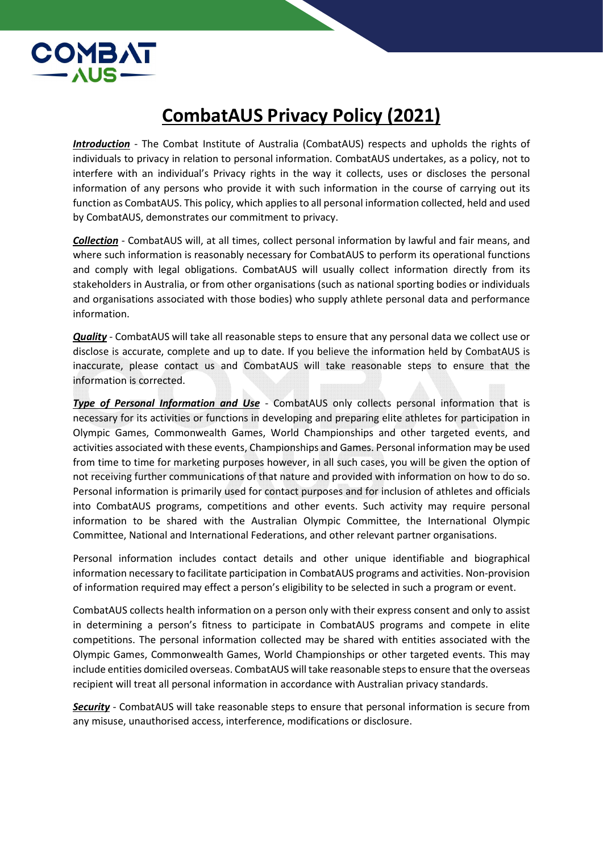

## CombatAUS Privacy Policy (2021)

Introduction - The Combat Institute of Australia (CombatAUS) respects and upholds the rights of individuals to privacy in relation to personal information. CombatAUS undertakes, as a policy, not to interfere with an individual's Privacy rights in the way it collects, uses or discloses the personal information of any persons who provide it with such information in the course of carrying out its function as CombatAUS. This policy, which applies to all personal information collected, held and used by CombatAUS, demonstrates our commitment to privacy.

Collection - CombatAUS will, at all times, collect personal information by lawful and fair means, and where such information is reasonably necessary for CombatAUS to perform its operational functions and comply with legal obligations. CombatAUS will usually collect information directly from its stakeholders in Australia, or from other organisations (such as national sporting bodies or individuals and organisations associated with those bodies) who supply athlete personal data and performance information.

Quality - CombatAUS will take all reasonable steps to ensure that any personal data we collect use or disclose is accurate, complete and up to date. If you believe the information held by CombatAUS is inaccurate, please contact us and CombatAUS will take reasonable steps to ensure that the information is corrected.

Type of Personal Information and Use - CombatAUS only collects personal information that is necessary for its activities or functions in developing and preparing elite athletes for participation in Olympic Games, Commonwealth Games, World Championships and other targeted events, and activities associated with these events, Championships and Games. Personal information may be used from time to time for marketing purposes however, in all such cases, you will be given the option of not receiving further communications of that nature and provided with information on how to do so. Personal information is primarily used for contact purposes and for inclusion of athletes and officials into CombatAUS programs, competitions and other events. Such activity may require personal information to be shared with the Australian Olympic Committee, the International Olympic Committee, National and International Federations, and other relevant partner organisations.

Personal information includes contact details and other unique identifiable and biographical information necessary to facilitate participation in CombatAUS programs and activities. Non-provision of information required may effect a person's eligibility to be selected in such a program or event.

CombatAUS collects health information on a person only with their express consent and only to assist in determining a person's fitness to participate in CombatAUS programs and compete in elite competitions. The personal information collected may be shared with entities associated with the Olympic Games, Commonwealth Games, World Championships or other targeted events. This may include entities domiciled overseas. CombatAUS will take reasonable steps to ensure that the overseas recipient will treat all personal information in accordance with Australian privacy standards.

Security - CombatAUS will take reasonable steps to ensure that personal information is secure from any misuse, unauthorised access, interference, modifications or disclosure.